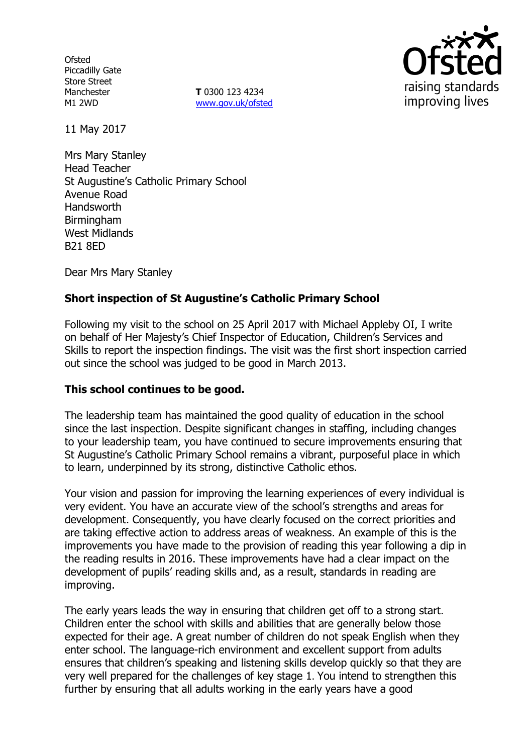**Ofsted** Piccadilly Gate Store Street Manchester M1 2WD

**T** 0300 123 4234 www.gov.uk/ofsted



11 May 2017

Mrs Mary Stanley Head Teacher St Augustine's Catholic Primary School Avenue Road Handsworth Birmingham West Midlands B21 8ED

Dear Mrs Mary Stanley

# **Short inspection of St Augustine's Catholic Primary School**

Following my visit to the school on 25 April 2017 with Michael Appleby OI, I write on behalf of Her Majesty's Chief Inspector of Education, Children's Services and Skills to report the inspection findings. The visit was the first short inspection carried out since the school was judged to be good in March 2013.

### **This school continues to be good.**

The leadership team has maintained the good quality of education in the school since the last inspection. Despite significant changes in staffing, including changes to your leadership team, you have continued to secure improvements ensuring that St Augustine's Catholic Primary School remains a vibrant, purposeful place in which to learn, underpinned by its strong, distinctive Catholic ethos.

Your vision and passion for improving the learning experiences of every individual is very evident. You have an accurate view of the school's strengths and areas for development. Consequently, you have clearly focused on the correct priorities and are taking effective action to address areas of weakness. An example of this is the improvements you have made to the provision of reading this year following a dip in the reading results in 2016. These improvements have had a clear impact on the development of pupils' reading skills and, as a result, standards in reading are improving.

The early years leads the way in ensuring that children get off to a strong start. Children enter the school with skills and abilities that are generally below those expected for their age. A great number of children do not speak English when they enter school. The language-rich environment and excellent support from adults ensures that children's speaking and listening skills develop quickly so that they are very well prepared for the challenges of key stage 1. You intend to strengthen this further by ensuring that all adults working in the early years have a good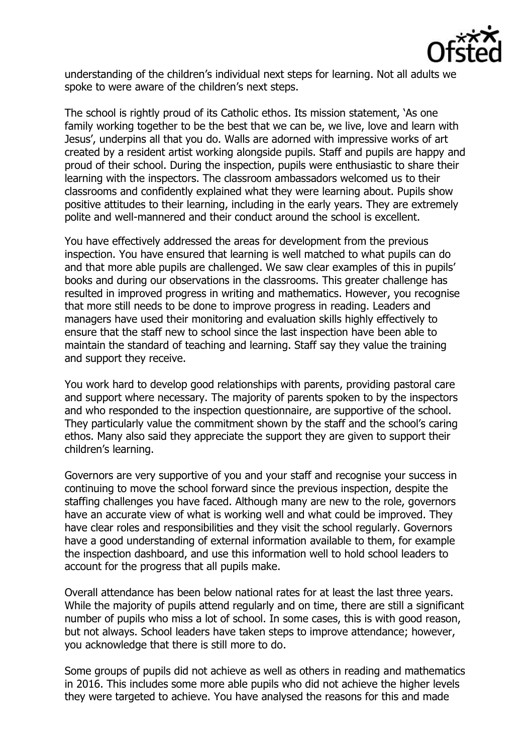

understanding of the children's individual next steps for learning. Not all adults we spoke to were aware of the children's next steps.

The school is rightly proud of its Catholic ethos. Its mission statement, 'As one family working together to be the best that we can be, we live, love and learn with Jesus', underpins all that you do. Walls are adorned with impressive works of art created by a resident artist working alongside pupils. Staff and pupils are happy and proud of their school. During the inspection, pupils were enthusiastic to share their learning with the inspectors. The classroom ambassadors welcomed us to their classrooms and confidently explained what they were learning about. Pupils show positive attitudes to their learning, including in the early years. They are extremely polite and well-mannered and their conduct around the school is excellent.

You have effectively addressed the areas for development from the previous inspection. You have ensured that learning is well matched to what pupils can do and that more able pupils are challenged. We saw clear examples of this in pupils' books and during our observations in the classrooms. This greater challenge has resulted in improved progress in writing and mathematics. However, you recognise that more still needs to be done to improve progress in reading. Leaders and managers have used their monitoring and evaluation skills highly effectively to ensure that the staff new to school since the last inspection have been able to maintain the standard of teaching and learning. Staff say they value the training and support they receive.

You work hard to develop good relationships with parents, providing pastoral care and support where necessary. The majority of parents spoken to by the inspectors and who responded to the inspection questionnaire, are supportive of the school. They particularly value the commitment shown by the staff and the school's caring ethos. Many also said they appreciate the support they are given to support their children's learning.

Governors are very supportive of you and your staff and recognise your success in continuing to move the school forward since the previous inspection, despite the staffing challenges you have faced. Although many are new to the role, governors have an accurate view of what is working well and what could be improved. They have clear roles and responsibilities and they visit the school regularly. Governors have a good understanding of external information available to them, for example the inspection dashboard, and use this information well to hold school leaders to account for the progress that all pupils make.

Overall attendance has been below national rates for at least the last three years. While the majority of pupils attend regularly and on time, there are still a significant number of pupils who miss a lot of school. In some cases, this is with good reason, but not always. School leaders have taken steps to improve attendance; however, you acknowledge that there is still more to do.

Some groups of pupils did not achieve as well as others in reading and mathematics in 2016. This includes some more able pupils who did not achieve the higher levels they were targeted to achieve. You have analysed the reasons for this and made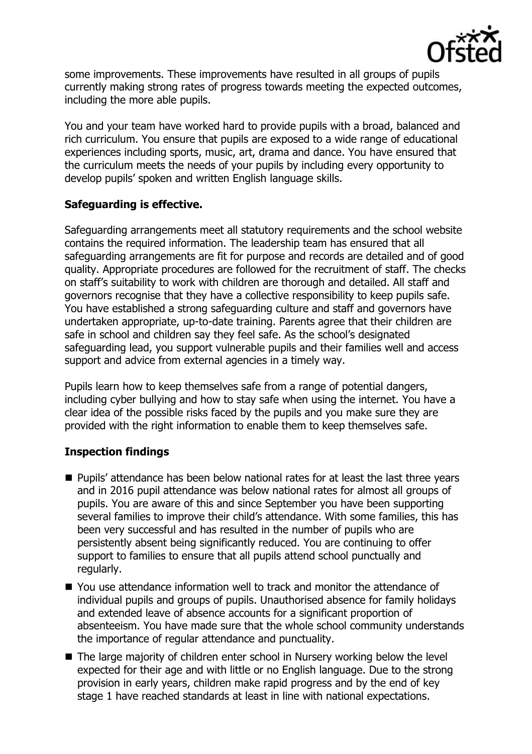

some improvements. These improvements have resulted in all groups of pupils currently making strong rates of progress towards meeting the expected outcomes, including the more able pupils.

You and your team have worked hard to provide pupils with a broad, balanced and rich curriculum. You ensure that pupils are exposed to a wide range of educational experiences including sports, music, art, drama and dance. You have ensured that the curriculum meets the needs of your pupils by including every opportunity to develop pupils' spoken and written English language skills.

# **Safeguarding is effective.**

Safeguarding arrangements meet all statutory requirements and the school website contains the required information. The leadership team has ensured that all safeguarding arrangements are fit for purpose and records are detailed and of good quality. Appropriate procedures are followed for the recruitment of staff. The checks on staff's suitability to work with children are thorough and detailed. All staff and governors recognise that they have a collective responsibility to keep pupils safe. You have established a strong safeguarding culture and staff and governors have undertaken appropriate, up-to-date training. Parents agree that their children are safe in school and children say they feel safe. As the school's designated safeguarding lead, you support vulnerable pupils and their families well and access support and advice from external agencies in a timely way.

Pupils learn how to keep themselves safe from a range of potential dangers, including cyber bullying and how to stay safe when using the internet. You have a clear idea of the possible risks faced by the pupils and you make sure they are provided with the right information to enable them to keep themselves safe.

# **Inspection findings**

- **Pupils' attendance has been below national rates for at least the last three years** and in 2016 pupil attendance was below national rates for almost all groups of pupils. You are aware of this and since September you have been supporting several families to improve their child's attendance. With some families, this has been very successful and has resulted in the number of pupils who are persistently absent being significantly reduced. You are continuing to offer support to families to ensure that all pupils attend school punctually and regularly.
- You use attendance information well to track and monitor the attendance of individual pupils and groups of pupils. Unauthorised absence for family holidays and extended leave of absence accounts for a significant proportion of absenteeism. You have made sure that the whole school community understands the importance of regular attendance and punctuality.
- The large majority of children enter school in Nursery working below the level expected for their age and with little or no English language. Due to the strong provision in early years, children make rapid progress and by the end of key stage 1 have reached standards at least in line with national expectations.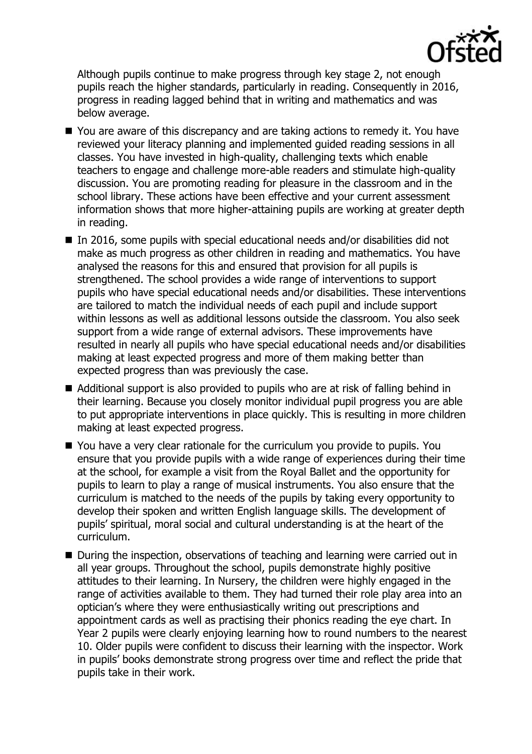

Although pupils continue to make progress through key stage 2, not enough pupils reach the higher standards, particularly in reading. Consequently in 2016, progress in reading lagged behind that in writing and mathematics and was below average.

- You are aware of this discrepancy and are taking actions to remedy it. You have reviewed your literacy planning and implemented guided reading sessions in all classes. You have invested in high-quality, challenging texts which enable teachers to engage and challenge more-able readers and stimulate high-quality discussion. You are promoting reading for pleasure in the classroom and in the school library. These actions have been effective and your current assessment information shows that more higher-attaining pupils are working at greater depth in reading.
- $\blacksquare$  In 2016, some pupils with special educational needs and/or disabilities did not make as much progress as other children in reading and mathematics. You have analysed the reasons for this and ensured that provision for all pupils is strengthened. The school provides a wide range of interventions to support pupils who have special educational needs and/or disabilities. These interventions are tailored to match the individual needs of each pupil and include support within lessons as well as additional lessons outside the classroom. You also seek support from a wide range of external advisors. These improvements have resulted in nearly all pupils who have special educational needs and/or disabilities making at least expected progress and more of them making better than expected progress than was previously the case.
- Additional support is also provided to pupils who are at risk of falling behind in their learning. Because you closely monitor individual pupil progress you are able to put appropriate interventions in place quickly. This is resulting in more children making at least expected progress.
- You have a very clear rationale for the curriculum you provide to pupils. You ensure that you provide pupils with a wide range of experiences during their time at the school, for example a visit from the Royal Ballet and the opportunity for pupils to learn to play a range of musical instruments. You also ensure that the curriculum is matched to the needs of the pupils by taking every opportunity to develop their spoken and written English language skills. The development of pupils' spiritual, moral social and cultural understanding is at the heart of the curriculum.
- During the inspection, observations of teaching and learning were carried out in all year groups. Throughout the school, pupils demonstrate highly positive attitudes to their learning. In Nursery, the children were highly engaged in the range of activities available to them. They had turned their role play area into an optician's where they were enthusiastically writing out prescriptions and appointment cards as well as practising their phonics reading the eye chart. In Year 2 pupils were clearly enjoying learning how to round numbers to the nearest 10. Older pupils were confident to discuss their learning with the inspector. Work in pupils' books demonstrate strong progress over time and reflect the pride that pupils take in their work.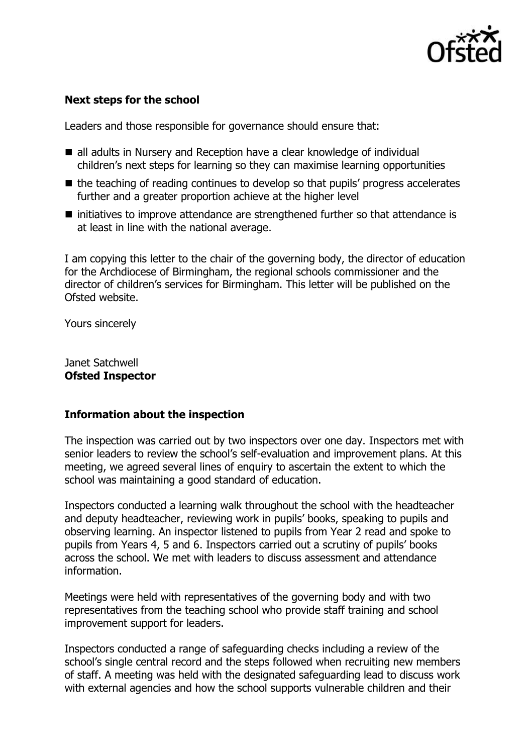

### **Next steps for the school**

Leaders and those responsible for governance should ensure that:

- all adults in Nursery and Reception have a clear knowledge of individual children's next steps for learning so they can maximise learning opportunities
- $\blacksquare$  the teaching of reading continues to develop so that pupils' progress accelerates further and a greater proportion achieve at the higher level
- initiatives to improve attendance are strengthened further so that attendance is at least in line with the national average.

I am copying this letter to the chair of the governing body, the director of education for the Archdiocese of Birmingham, the regional schools commissioner and the director of children's services for Birmingham. This letter will be published on the Ofsted website.

Yours sincerely

Janet Satchwell **Ofsted Inspector**

### **Information about the inspection**

The inspection was carried out by two inspectors over one day. Inspectors met with senior leaders to review the school's self-evaluation and improvement plans. At this meeting, we agreed several lines of enquiry to ascertain the extent to which the school was maintaining a good standard of education.

Inspectors conducted a learning walk throughout the school with the headteacher and deputy headteacher, reviewing work in pupils' books, speaking to pupils and observing learning. An inspector listened to pupils from Year 2 read and spoke to pupils from Years 4, 5 and 6. Inspectors carried out a scrutiny of pupils' books across the school. We met with leaders to discuss assessment and attendance information.

Meetings were held with representatives of the governing body and with two representatives from the teaching school who provide staff training and school improvement support for leaders.

Inspectors conducted a range of safeguarding checks including a review of the school's single central record and the steps followed when recruiting new members of staff. A meeting was held with the designated safeguarding lead to discuss work with external agencies and how the school supports vulnerable children and their